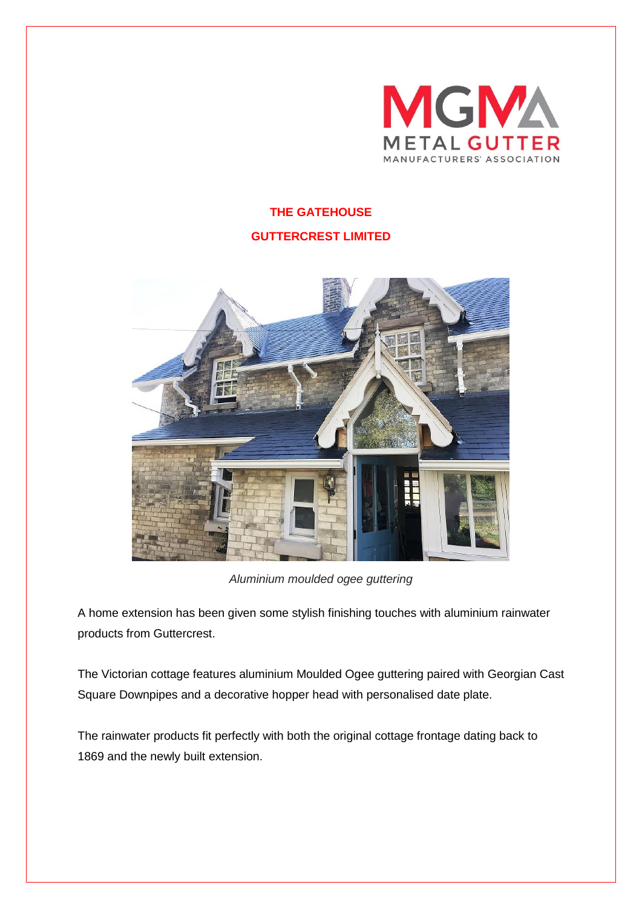

## **THE GATEHOUSE GUTTERCREST LIMITED**



*Aluminium moulded ogee guttering*

A home extension has been given some stylish finishing touches with aluminium rainwater products from Guttercrest.

The Victorian cottage features aluminium Moulded Ogee guttering paired with Georgian Cast Square Downpipes and a decorative hopper head with personalised date plate.

The rainwater products fit perfectly with both the original cottage frontage dating back to 1869 and the newly built extension.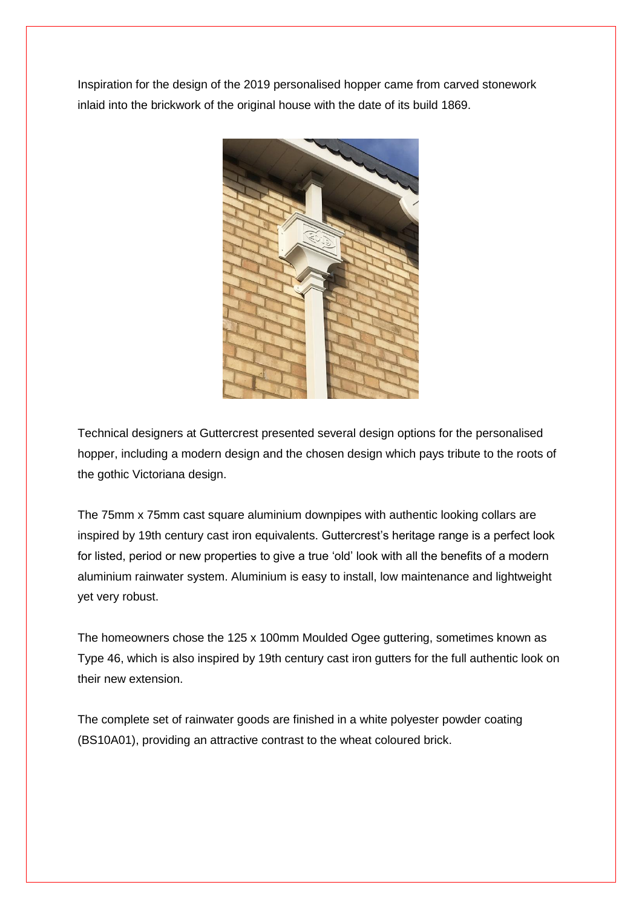Inspiration for the design of the 2019 personalised hopper came from carved stonework inlaid into the brickwork of the original house with the date of its build 1869.



Technical designers at Guttercrest presented several design options for the personalised hopper, including a modern design and the chosen design which pays tribute to the roots of the gothic Victoriana design.

The 75mm x 75mm cast square aluminium downpipes with authentic looking collars are inspired by 19th century cast iron equivalents. Guttercrest's heritage range is a perfect look for listed, period or new properties to give a true 'old' look with all the benefits of a modern aluminium rainwater system. Aluminium is easy to install, low maintenance and lightweight yet very robust.

The homeowners chose the 125 x 100mm Moulded Ogee guttering, sometimes known as Type 46, which is also inspired by 19th century cast iron gutters for the full authentic look on their new extension.

The complete set of rainwater goods are finished in a white polyester powder coating (BS10A01), providing an attractive contrast to the wheat coloured brick.